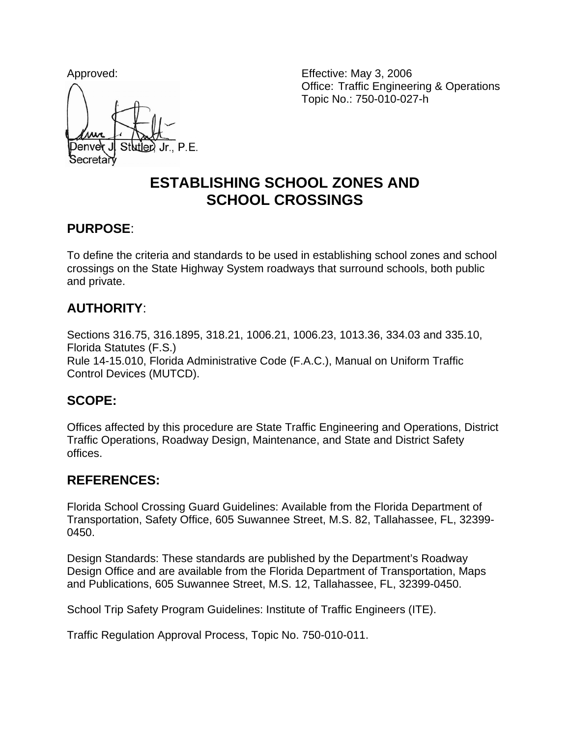

Approved: Effective: May 3, 2006 Office: Traffic Engineering & Operations Topic No.: 750-010-027-h

# **ESTABLISHING SCHOOL ZONES AND SCHOOL CROSSINGS**

#### **PURPOSE**:

To define the criteria and standards to be used in establishing school zones and school crossings on the State Highway System roadways that surround schools, both public and private.

# **AUTHORITY**:

Sections 316.75, 316.1895, 318.21, 1006.21, 1006.23, 1013.36, 334.03 and 335.10, Florida Statutes (F.S.) Rule 14-15.010, Florida Administrative Code (F.A.C.), Manual on Uniform Traffic Control Devices (MUTCD).

# **SCOPE:**

Offices affected by this procedure are State Traffic Engineering and Operations, District Traffic Operations, Roadway Design, Maintenance, and State and District Safety offices.

### **REFERENCES:**

Florida School Crossing Guard Guidelines: Available from the Florida Department of Transportation, Safety Office, 605 Suwannee Street, M.S. 82, Tallahassee, FL, 32399- 0450.

Design Standards: These standards are published by the Department's Roadway Design Office and are available from the Florida Department of Transportation, Maps and Publications, 605 Suwannee Street, M.S. 12, Tallahassee, FL, 32399-0450.

School Trip Safety Program Guidelines: Institute of Traffic Engineers (ITE).

Traffic Regulation Approval Process, Topic No. 750-010-011.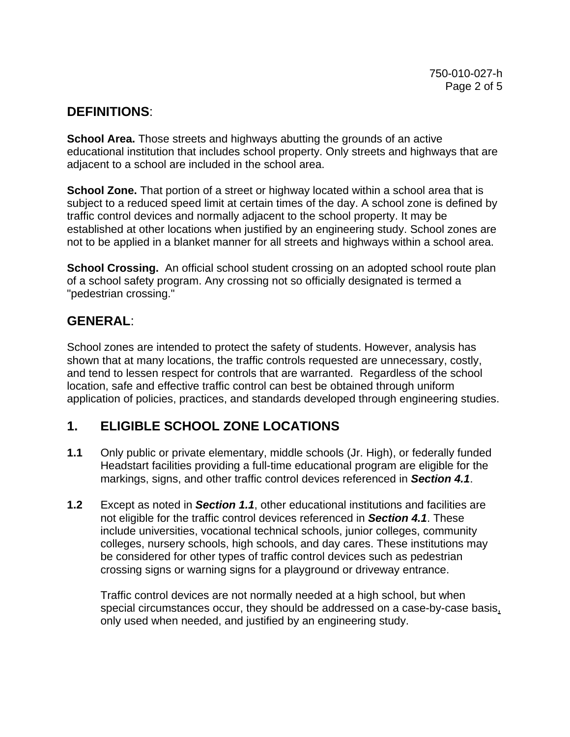### **DEFINITIONS**:

**School Area.** Those streets and highways abutting the grounds of an active educational institution that includes school property. Only streets and highways that are adjacent to a school are included in the school area.

**School Zone.** That portion of a street or highway located within a school area that is subject to a reduced speed limit at certain times of the day. A school zone is defined by traffic control devices and normally adjacent to the school property. It may be established at other locations when justified by an engineering study. School zones are not to be applied in a blanket manner for all streets and highways within a school area.

**School Crossing.** An official school student crossing on an adopted school route plan of a school safety program. Any crossing not so officially designated is termed a "pedestrian crossing."

### **GENERAL**:

School zones are intended to protect the safety of students. However, analysis has shown that at many locations, the traffic controls requested are unnecessary, costly, and tend to lessen respect for controls that are warranted. Regardless of the school location, safe and effective traffic control can best be obtained through uniform application of policies, practices, and standards developed through engineering studies.

# **1. ELIGIBLE SCHOOL ZONE LOCATIONS**

- **1.1** Only public or private elementary, middle schools (Jr. High), or federally funded Headstart facilities providing a full-time educational program are eligible for the markings, signs, and other traffic control devices referenced in *Section 4.1*.
- **1.2** Except as noted in *Section 1.1*, other educational institutions and facilities are not eligible for the traffic control devices referenced in *Section 4.1*. These include universities, vocational technical schools, junior colleges, community colleges, nursery schools, high schools, and day cares. These institutions may be considered for other types of traffic control devices such as pedestrian crossing signs or warning signs for a playground or driveway entrance.

 Traffic control devices are not normally needed at a high school, but when special circumstances occur, they should be addressed on a case-by-case basis, only used when needed, and justified by an engineering study.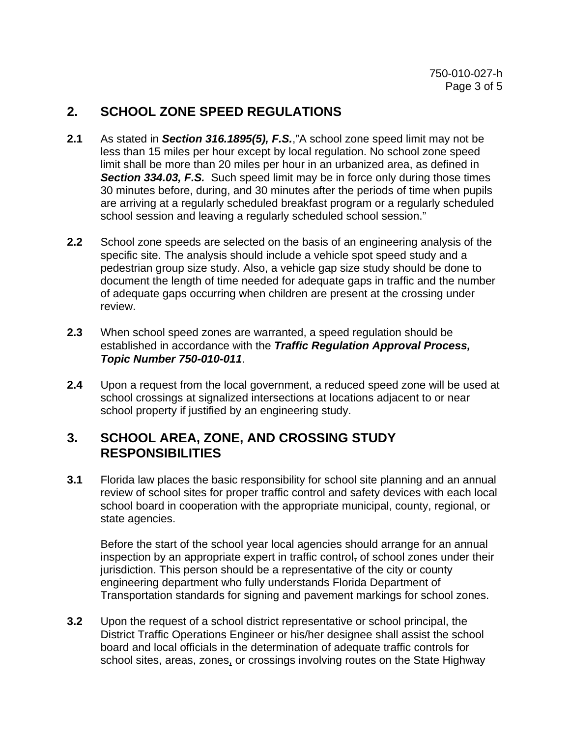### **2. SCHOOL ZONE SPEED REGULATIONS**

- **2.1** As stated in *Section 316.1895(5), F.S.*,"A school zone speed limit may not be less than 15 miles per hour except by local regulation. No school zone speed limit shall be more than 20 miles per hour in an urbanized area, as defined in **Section 334.03, F.S.** Such speed limit may be in force only during those times 30 minutes before, during, and 30 minutes after the periods of time when pupils are arriving at a regularly scheduled breakfast program or a regularly scheduled school session and leaving a regularly scheduled school session."
- **2.2** School zone speeds are selected on the basis of an engineering analysis of the specific site. The analysis should include a vehicle spot speed study and a pedestrian group size study. Also, a vehicle gap size study should be done to document the length of time needed for adequate gaps in traffic and the number of adequate gaps occurring when children are present at the crossing under review.
- **2.3** When school speed zones are warranted, a speed regulation should be established in accordance with the *Traffic Regulation Approval Process, Topic Number 750-010-011*.
- **2.4** Upon a request from the local government, a reduced speed zone will be used at school crossings at signalized intersections at locations adjacent to or near school property if justified by an engineering study.

### **3. SCHOOL AREA, ZONE, AND CROSSING STUDY RESPONSIBILITIES**

**3.1** Florida law places the basic responsibility for school site planning and an annual review of school sites for proper traffic control and safety devices with each local school board in cooperation with the appropriate municipal, county, regional, or state agencies.

Before the start of the school year local agencies should arrange for an annual inspection by an appropriate expert in traffic control, of school zones under their jurisdiction. This person should be a representative of the city or county engineering department who fully understands Florida Department of Transportation standards for signing and pavement markings for school zones.

**3.2** Upon the request of a school district representative or school principal, the District Traffic Operations Engineer or his/her designee shall assist the school board and local officials in the determination of adequate traffic controls for school sites, areas, zones, or crossings involving routes on the State Highway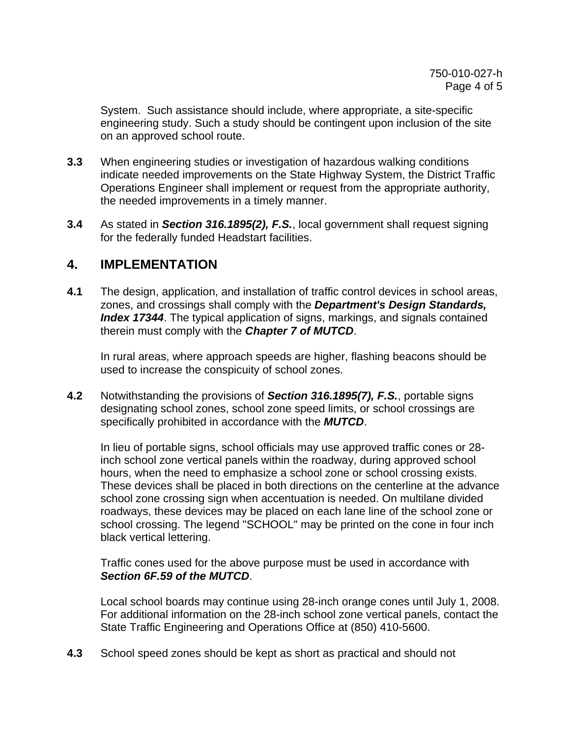System. Such assistance should include, where appropriate, a site-specific engineering study. Such a study should be contingent upon inclusion of the site on an approved school route.

- **3.3** When engineering studies or investigation of hazardous walking conditions indicate needed improvements on the State Highway System, the District Traffic Operations Engineer shall implement or request from the appropriate authority, the needed improvements in a timely manner.
- **3.4** As stated in *Section 316.1895(2), F.S.*, local government shall request signing for the federally funded Headstart facilities.

### **4. IMPLEMENTATION**

**4.1** The design, application, and installation of traffic control devices in school areas, zones, and crossings shall comply with the *Department's Design Standards, Index 17344*. The typical application of signs, markings, and signals contained therein must comply with the *Chapter 7 of MUTCD*.

In rural areas, where approach speeds are higher, flashing beacons should be used to increase the conspicuity of school zones.

**4.2** Notwithstanding the provisions of *Section 316.1895(7), F.S.*, portable signs designating school zones, school zone speed limits, or school crossings are specifically prohibited in accordance with the *MUTCD*.

 In lieu of portable signs, school officials may use approved traffic cones or 28 inch school zone vertical panels within the roadway, during approved school hours, when the need to emphasize a school zone or school crossing exists. These devices shall be placed in both directions on the centerline at the advance school zone crossing sign when accentuation is needed. On multilane divided roadways, these devices may be placed on each lane line of the school zone or school crossing. The legend "SCHOOL" may be printed on the cone in four inch black vertical lettering.

 Traffic cones used for the above purpose must be used in accordance with *Section 6F.59 of the MUTCD*.

Local school boards may continue using 28-inch orange cones until July 1, 2008. For additional information on the 28-inch school zone vertical panels, contact the State Traffic Engineering and Operations Office at (850) 410-5600.

**4.3** School speed zones should be kept as short as practical and should not